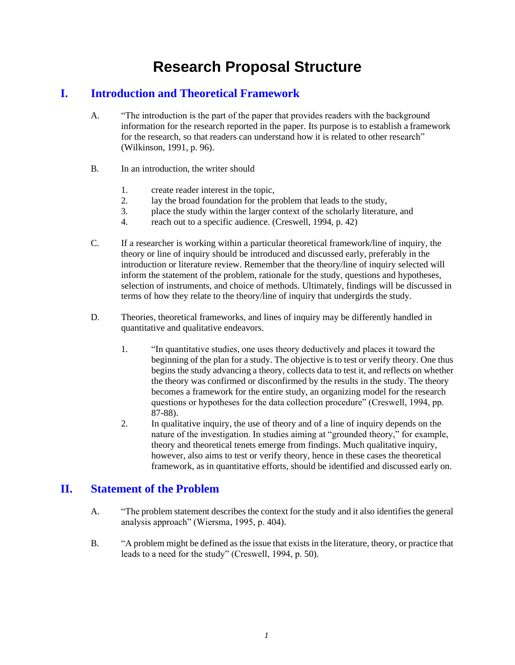# **Research Proposal Structure**

# **I. Introduction and Theoretical Framework**

- A. "The introduction is the part of the paper that provides readers with the background information for the research reported in the paper. Its purpose is to establish a framework for the research, so that readers can understand how it is related to other research" (Wilkinson, 1991, p. 96).
- B. In an introduction, the writer should
	- 1. create reader interest in the topic,
	- 2. lay the broad foundation for the problem that leads to the study,
	- 3. place the study within the larger context of the scholarly literature, and
	- 4. reach out to a specific audience. (Creswell, 1994, p. 42)
- C. If a researcher is working within a particular theoretical framework/line of inquiry, the theory or line of inquiry should be introduced and discussed early, preferably in the introduction or literature review. Remember that the theory/line of inquiry selected will inform the statement of the problem, rationale for the study, questions and hypotheses, selection of instruments, and choice of methods. Ultimately, findings will be discussed in terms of how they relate to the theory/line of inquiry that undergirds the study.
- D. Theories, theoretical frameworks, and lines of inquiry may be differently handled in quantitative and qualitative endeavors.
	- 1. "In quantitative studies, one uses theory deductively and places it toward the beginning of the plan for a study. The objective is to test or verify theory. One thus begins the study advancing a theory, collects data to test it, and reflects on whether the theory was confirmed or disconfirmed by the results in the study. The theory becomes a framework for the entire study, an organizing model for the research questions or hypotheses for the data collection procedure" (Creswell, 1994, pp. 87-88).
	- 2. In qualitative inquiry, the use of theory and of a line of inquiry depends on the nature of the investigation. In studies aiming at "grounded theory," for example, theory and theoretical tenets emerge from findings. Much qualitative inquiry, however, also aims to test or verify theory, hence in these cases the theoretical framework, as in quantitative efforts, should be identified and discussed early on.

### **II. Statement of the Problem**

- A. "The problem statement describes the context for the study and it also identifies the general analysis approach" (Wiersma, 1995, p. 404).
- B. "A problem might be defined as the issue that exists in the literature, theory, or practice that leads to a need for the study" (Creswell, 1994, p. 50).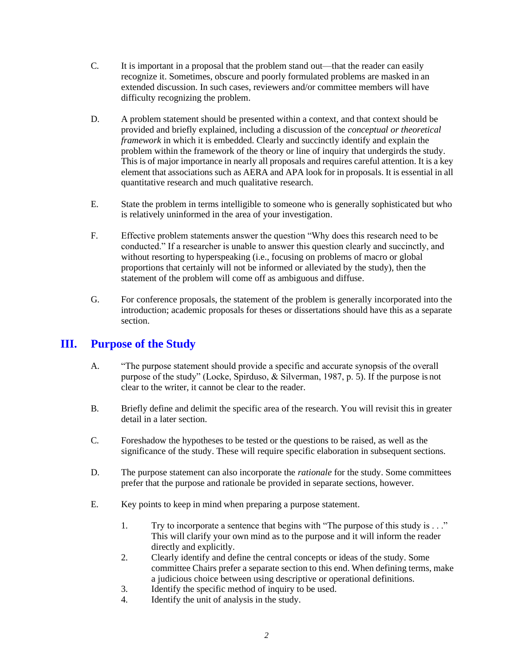- C. It is important in a proposal that the problem stand out—that the reader can easily recognize it. Sometimes, obscure and poorly formulated problems are masked in an extended discussion. In such cases, reviewers and/or committee members will have difficulty recognizing the problem.
- D. A problem statement should be presented within a context, and that context should be provided and briefly explained, including a discussion of the *conceptual or theoretical framework* in which it is embedded. Clearly and succinctly identify and explain the problem within the framework of the theory or line of inquiry that undergirds the study. This is of major importance in nearly all proposals and requires careful attention. It is a key element that associations such as AERA and APA look for in proposals. It is essential in all quantitative research and much qualitative research.
- E. State the problem in terms intelligible to someone who is generally sophisticated but who is relatively uninformed in the area of your investigation.
- F. Effective problem statements answer the question "Why does this research need to be conducted." If a researcher is unable to answer this question clearly and succinctly, and without resorting to hyperspeaking (i.e., focusing on problems of macro or global proportions that certainly will not be informed or alleviated by the study), then the statement of the problem will come off as ambiguous and diffuse.
- G. For conference proposals, the statement of the problem is generally incorporated into the introduction; academic proposals for theses or dissertations should have this as a separate section.

### **III. Purpose of the Study**

- A. "The purpose statement should provide a specific and accurate synopsis of the overall purpose of the study" (Locke, Spirduso, & Silverman, 1987, p. 5). If the purpose is not clear to the writer, it cannot be clear to the reader.
- B. Briefly define and delimit the specific area of the research. You will revisit this in greater detail in a later section.
- C. Foreshadow the hypotheses to be tested or the questions to be raised, as well as the significance of the study. These will require specific elaboration in subsequent sections.
- D. The purpose statement can also incorporate the *rationale* for the study. Some committees prefer that the purpose and rationale be provided in separate sections, however.
- E. Key points to keep in mind when preparing a purpose statement.
	- 1. Try to incorporate a sentence that begins with "The purpose of this study is . . ." This will clarify your own mind as to the purpose and it will inform the reader directly and explicitly.
	- 2. Clearly identify and define the central concepts or ideas of the study. Some committee Chairs prefer a separate section to this end. When defining terms, make a judicious choice between using descriptive or operational definitions.
	- 3. Identify the specific method of inquiry to be used.
	- 4. Identify the unit of analysis in the study.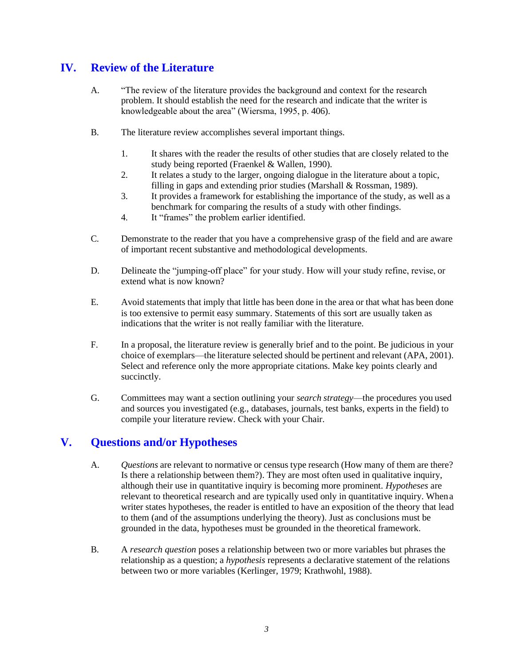# **IV. Review of the Literature**

- A. "The review of the literature provides the background and context for the research problem. It should establish the need for the research and indicate that the writer is knowledgeable about the area" (Wiersma, 1995, p. 406).
- B. The literature review accomplishes several important things.
	- 1. It shares with the reader the results of other studies that are closely related to the study being reported (Fraenkel & Wallen, 1990).
	- 2. It relates a study to the larger, ongoing dialogue in the literature about a topic, filling in gaps and extending prior studies (Marshall & Rossman, 1989).
	- 3. It provides a framework for establishing the importance of the study, as well as a benchmark for comparing the results of a study with other findings.
	- 4. It "frames" the problem earlier identified.
- C. Demonstrate to the reader that you have a comprehensive grasp of the field and are aware of important recent substantive and methodological developments.
- D. Delineate the "jumping-off place" for your study. How will your study refine, revise, or extend what is now known?
- E. Avoid statements that imply that little has been done in the area or that what has been done is too extensive to permit easy summary. Statements of this sort are usually taken as indications that the writer is not really familiar with the literature.
- F. In a proposal, the literature review is generally brief and to the point. Be judicious in your choice of exemplars—the literature selected should be pertinent and relevant (APA, 2001). Select and reference only the more appropriate citations. Make key points clearly and succinctly.
- G. Committees may want a section outlining your *search strategy*—the procedures you used and sources you investigated (e.g., databases, journals, test banks, experts in the field) to compile your literature review. Check with your Chair.

# **V. Questions and/or Hypotheses**

- A. *Questions* are relevant to normative or census type research (How many of them are there? Is there a relationship between them?). They are most often used in qualitative inquiry, although their use in quantitative inquiry is becoming more prominent. *Hypotheses* are relevant to theoretical research and are typically used only in quantitative inquiry. Whena writer states hypotheses, the reader is entitled to have an exposition of the theory that lead to them (and of the assumptions underlying the theory). Just as conclusions must be grounded in the data, hypotheses must be grounded in the theoretical framework.
- B. A *research question* poses a relationship between two or more variables but phrases the relationship as a question; a *hypothesis* represents a declarative statement of the relations between two or more variables (Kerlinger, 1979; Krathwohl, 1988).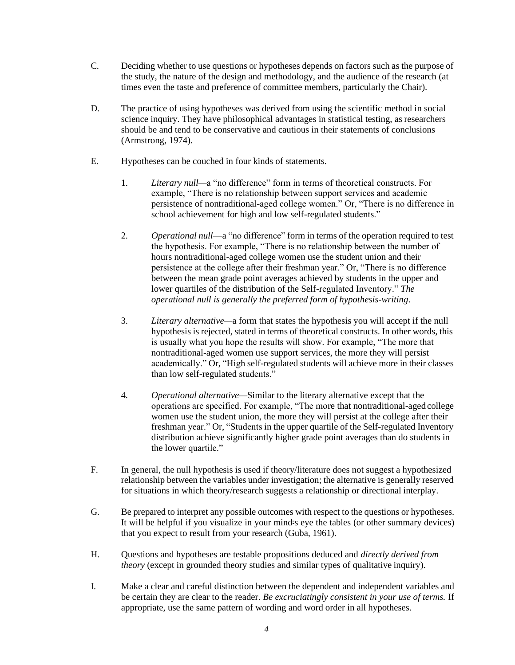- C. Deciding whether to use questions or hypotheses depends on factors such as the purpose of the study, the nature of the design and methodology, and the audience of the research (at times even the taste and preference of committee members, particularly the Chair).
- D. The practice of using hypotheses was derived from using the scientific method in social science inquiry. They have philosophical advantages in statistical testing, as researchers should be and tend to be conservative and cautious in their statements of conclusions (Armstrong, 1974).
- E. Hypotheses can be couched in four kinds of statements.
	- 1. *Literary null—*a "no difference" form in terms of theoretical constructs. For example, "There is no relationship between support services and academic persistence of nontraditional-aged college women." Or, "There is no difference in school achievement for high and low self-regulated students."
	- 2. *Operational null*—a "no difference" form in terms of the operation required to test the hypothesis. For example, "There is no relationship between the number of hours nontraditional-aged college women use the student union and their persistence at the college after their freshman year." Or, "There is no difference between the mean grade point averages achieved by students in the upper and lower quartiles of the distribution of the Self-regulated Inventory." *The operational null is generally the preferred form of hypothesis-writing*.
	- 3. *Literary alternative—*a form that states the hypothesis you will accept if the null hypothesis is rejected, stated in terms of theoretical constructs. In other words, this is usually what you hope the results will show. For example, "The more that nontraditional-aged women use support services, the more they will persist academically." Or, "High self-regulated students will achieve more in their classes than low self-regulated students."
	- 4. *Operational alternative—*Similar to the literary alternative except that the operations are specified. For example, "The more that nontraditional-aged college women use the student union, the more they will persist at the college after their freshman year." Or, "Students in the upper quartile of the Self-regulated Inventory distribution achieve significantly higher grade point averages than do students in the lower quartile."
- F. In general, the null hypothesis is used if theory/literature does not suggest a hypothesized relationship between the variables under investigation; the alternative is generally reserved for situations in which theory/research suggests a relationship or directional interplay.
- G. Be prepared to interpret any possible outcomes with respect to the questions or hypotheses. It will be helpful if you visualize in your mind=s eye the tables (or other summary devices) that you expect to result from your research (Guba, 1961).
- H. Questions and hypotheses are testable propositions deduced and *directly derived from theory* (except in grounded theory studies and similar types of qualitative inquiry).
- I. Make a clear and careful distinction between the dependent and independent variables and be certain they are clear to the reader. *Be excruciatingly consistent in your use of terms.* If appropriate, use the same pattern of wording and word order in all hypotheses.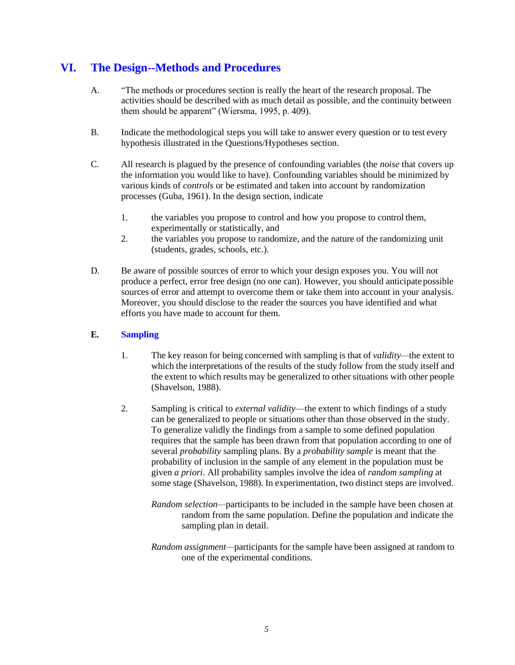# **VI. The Design--Methods and Procedures**

- A. "The methods or procedures section is really the heart of the research proposal. The activities should be described with as much detail as possible, and the continuity between them should be apparent" (Wiersma, 1995, p. 409).
- B. Indicate the methodological steps you will take to answer every question or to test every hypothesis illustrated in the Questions/Hypotheses section.
- C. All research is plagued by the presence of confounding variables (the *noise* that covers up the information you would like to have). Confounding variables should be minimized by various kinds of *controls* or be estimated and taken into account by randomization processes (Guba, 1961). In the design section, indicate
	- 1. the variables you propose to control and how you propose to control them, experimentally or statistically, and
	- 2. the variables you propose to randomize, and the nature of the randomizing unit (students, grades, schools, etc.).
- D. Be aware of possible sources of error to which your design exposes you. You will not produce a perfect, error free design (no one can). However, you should anticipate possible sources of error and attempt to overcome them or take them into account in your analysis. Moreover, you should disclose to the reader the sources you have identified and what efforts you have made to account for them.

#### **E. Sampling**

- 1. The key reason for being concerned with sampling is that of *validity—*the extent to which the interpretations of the results of the study follow from the study itself and the extent to which results may be generalized to other situations with other people (Shavelson, 1988).
- 2. Sampling is critical to *external validity*—the extent to which findings of a study can be generalized to people or situations other than those observed in the study. To generalize validly the findings from a sample to some defined population requires that the sample has been drawn from that population according to one of several *probability* sampling plans. By a *probability sample* is meant that the probability of inclusion in the sample of any element in the population must be given *a priori*. All probability samples involve the idea of *random sampling* at some stage (Shavelson, 1988). In experimentation, two distinct steps are involved.
	- *Random selection—*participants to be included in the sample have been chosen at random from the same population. Define the population and indicate the sampling plan in detail.
	- *Random assignment—*participants for the sample have been assigned at random to one of the experimental conditions.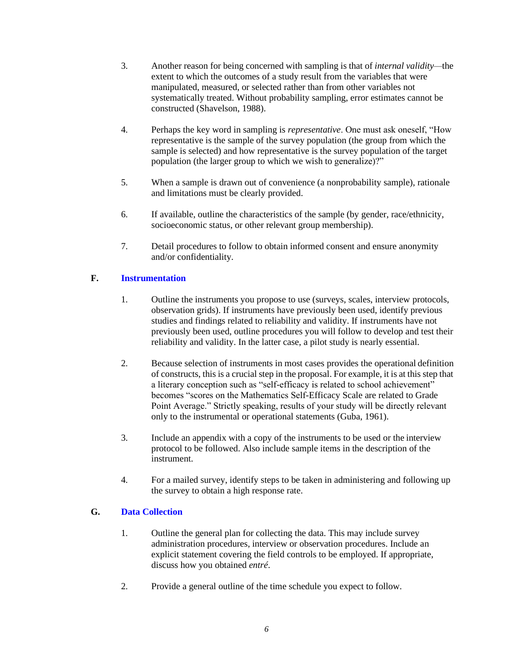- 3. Another reason for being concerned with sampling is that of *internal validity—*the extent to which the outcomes of a study result from the variables that were manipulated, measured, or selected rather than from other variables not systematically treated. Without probability sampling, error estimates cannot be constructed (Shavelson, 1988).
- 4. Perhaps the key word in sampling is *representative*. One must ask oneself, "How representative is the sample of the survey population (the group from which the sample is selected) and how representative is the survey population of the target population (the larger group to which we wish to generalize)?"
- 5. When a sample is drawn out of convenience (a nonprobability sample), rationale and limitations must be clearly provided.
- 6. If available, outline the characteristics of the sample (by gender, race/ethnicity, socioeconomic status, or other relevant group membership).
- 7. Detail procedures to follow to obtain informed consent and ensure anonymity and/or confidentiality.

#### **F. Instrumentation**

- 1. Outline the instruments you propose to use (surveys, scales, interview protocols, observation grids). If instruments have previously been used, identify previous studies and findings related to reliability and validity. If instruments have not previously been used, outline procedures you will follow to develop and test their reliability and validity. In the latter case, a pilot study is nearly essential.
- 2. Because selection of instruments in most cases provides the operational definition of constructs, this is a crucial step in the proposal. For example, it is at this step that a literary conception such as "self-efficacy is related to school achievement" becomes "scores on the Mathematics Self-Efficacy Scale are related to Grade Point Average." Strictly speaking, results of your study will be directly relevant only to the instrumental or operational statements (Guba, 1961).
- 3. Include an appendix with a copy of the instruments to be used or the interview protocol to be followed. Also include sample items in the description of the instrument.
- 4. For a mailed survey, identify steps to be taken in administering and following up the survey to obtain a high response rate.

#### **G. Data Collection**

- 1. Outline the general plan for collecting the data. This may include survey administration procedures, interview or observation procedures. Include an explicit statement covering the field controls to be employed. If appropriate, discuss how you obtained *entré*.
- 2. Provide a general outline of the time schedule you expect to follow.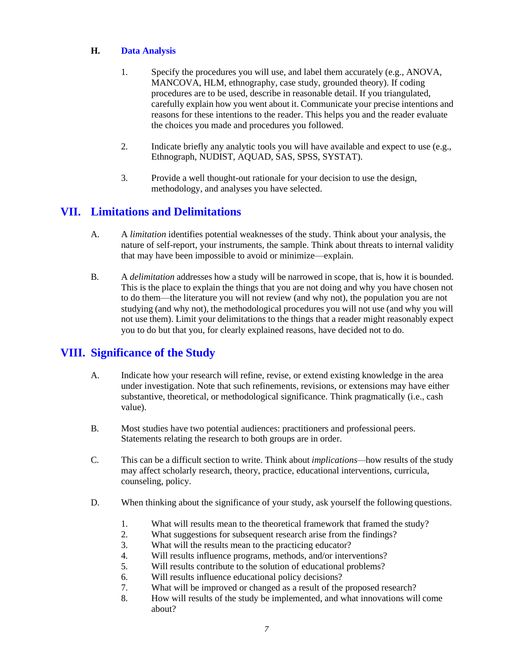#### **H. Data Analysis**

- 1. Specify the procedures you will use, and label them accurately (e.g., ANOVA, MANCOVA, HLM, ethnography, case study, grounded theory). If coding procedures are to be used, describe in reasonable detail. If you triangulated, carefully explain how you went about it. Communicate your precise intentions and reasons for these intentions to the reader. This helps you and the reader evaluate the choices you made and procedures you followed.
- 2. Indicate briefly any analytic tools you will have available and expect to use (e.g., Ethnograph, NUDIST, AQUAD, SAS, SPSS, SYSTAT).
- 3. Provide a well thought-out rationale for your decision to use the design, methodology, and analyses you have selected.

# **VII. Limitations and Delimitations**

- A. A *limitation* identifies potential weaknesses of the study. Think about your analysis, the nature of self-report, your instruments, the sample. Think about threats to internal validity that may have been impossible to avoid or minimize—explain.
- B. A *delimitation* addresses how a study will be narrowed in scope, that is, how it is bounded. This is the place to explain the things that you are not doing and why you have chosen not to do them—the literature you will not review (and why not), the population you are not studying (and why not), the methodological procedures you will not use (and why you will not use them). Limit your delimitations to the things that a reader might reasonably expect you to do but that you, for clearly explained reasons, have decided not to do.

# **VIII. Significance of the Study**

- A. Indicate how your research will refine, revise, or extend existing knowledge in the area under investigation. Note that such refinements, revisions, or extensions may have either substantive, theoretical, or methodological significance. Think pragmatically (i.e., cash value).
- B. Most studies have two potential audiences: practitioners and professional peers. Statements relating the research to both groups are in order.
- C. This can be a difficult section to write. Think about *implications—*how results of the study may affect scholarly research, theory, practice, educational interventions, curricula, counseling, policy.
- D. When thinking about the significance of your study, ask yourself the following questions.
	- 1. What will results mean to the theoretical framework that framed the study?
	- 2. What suggestions for subsequent research arise from the findings?
	- 3. What will the results mean to the practicing educator?
	- 4. Will results influence programs, methods, and/or interventions?
	- 5. Will results contribute to the solution of educational problems?
	- 6. Will results influence educational policy decisions?
	- 7. What will be improved or changed as a result of the proposed research?
	- 8. How will results of the study be implemented, and what innovations will come about?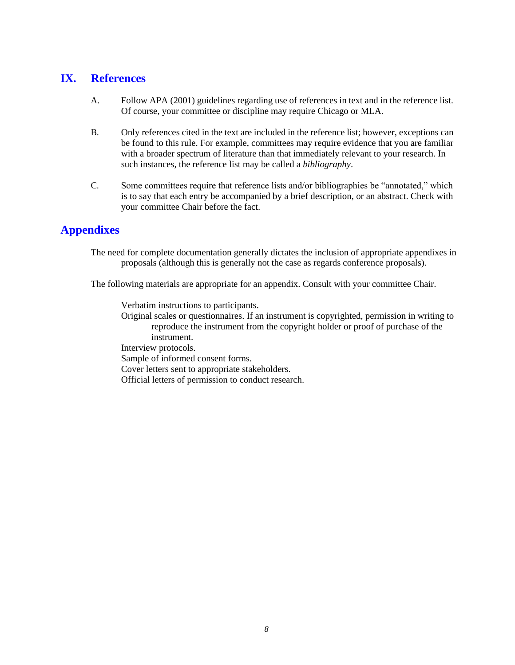### **IX. References**

- A. Follow APA (2001) guidelines regarding use of references in text and in the reference list. Of course, your committee or discipline may require Chicago or MLA.
- B. Only references cited in the text are included in the reference list; however, exceptions can be found to this rule. For example, committees may require evidence that you are familiar with a broader spectrum of literature than that immediately relevant to your research. In such instances, the reference list may be called a *bibliography*.
- C. Some committees require that reference lists and/or bibliographies be "annotated," which is to say that each entry be accompanied by a brief description, or an abstract. Check with your committee Chair before the fact.

# **Appendixes**

The need for complete documentation generally dictates the inclusion of appropriate appendixes in proposals (although this is generally not the case as regards conference proposals).

The following materials are appropriate for an appendix. Consult with your committee Chair.

Verbatim instructions to participants. Original scales or questionnaires. If an instrument is copyrighted, permission in writing to reproduce the instrument from the copyright holder or proof of purchase of the instrument. Interview protocols. Sample of informed consent forms. Cover letters sent to appropriate stakeholders. Official letters of permission to conduct research.